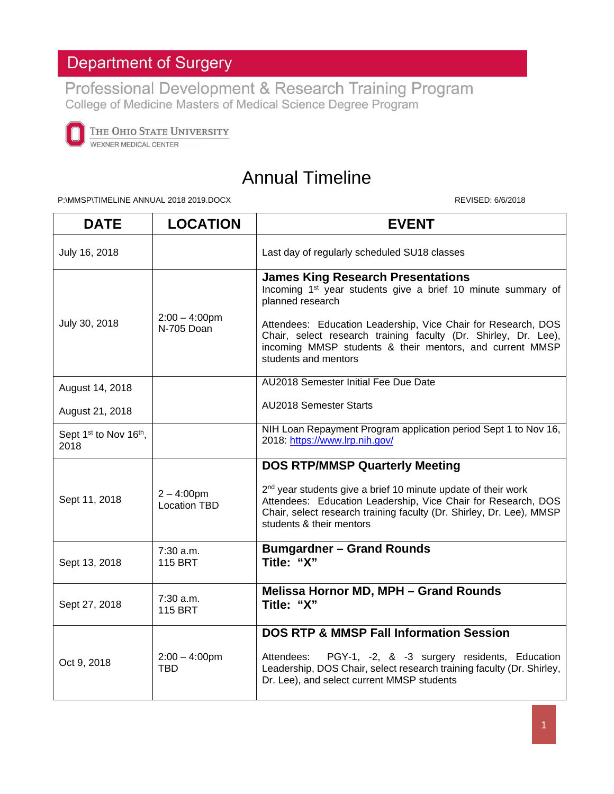## **Department of Surgery**

Professional Development & Research Training Program<br>College of Medicine Masters of Medical Science Degree Program



THE OHIO STATE UNIVERSITY WEXNER MEDICAL CENTER

## Annual Timeline

P:\MMSP\TIMELINE ANNUAL 2018 2019.DOCX REVISED: 6/6/2018

| <b>DATE</b>                                            | <b>LOCATION</b>                     | <b>EVENT</b>                                                                                                                                                                                                                                                                                                                                                     |
|--------------------------------------------------------|-------------------------------------|------------------------------------------------------------------------------------------------------------------------------------------------------------------------------------------------------------------------------------------------------------------------------------------------------------------------------------------------------------------|
| July 16, 2018                                          |                                     | Last day of regularly scheduled SU18 classes                                                                                                                                                                                                                                                                                                                     |
| July 30, 2018                                          | $2:00 - 4:00$ pm<br>N-705 Doan      | <b>James King Research Presentations</b><br>Incoming 1 <sup>st</sup> year students give a brief 10 minute summary of<br>planned research<br>Attendees: Education Leadership, Vice Chair for Research, DOS<br>Chair, select research training faculty (Dr. Shirley, Dr. Lee),<br>incoming MMSP students & their mentors, and current MMSP<br>students and mentors |
| August 14, 2018                                        |                                     | AU2018 Semester Initial Fee Due Date                                                                                                                                                                                                                                                                                                                             |
| August 21, 2018                                        |                                     | AU2018 Semester Starts                                                                                                                                                                                                                                                                                                                                           |
| Sept 1 <sup>st</sup> to Nov 16 <sup>th</sup> ,<br>2018 |                                     | NIH Loan Repayment Program application period Sept 1 to Nov 16,<br>2018: https://www.lrp.nih.gov/                                                                                                                                                                                                                                                                |
| Sept 11, 2018                                          | $2 - 4:00pm$<br><b>Location TBD</b> | <b>DOS RTP/MMSP Quarterly Meeting</b><br>2 <sup>nd</sup> year students give a brief 10 minute update of their work<br>Attendees: Education Leadership, Vice Chair for Research, DOS<br>Chair, select research training faculty (Dr. Shirley, Dr. Lee), MMSP<br>students & their mentors                                                                          |
| Sept 13, 2018                                          | 7:30 a.m.<br><b>115 BRT</b>         | <b>Bumgardner - Grand Rounds</b><br>Title: "X"                                                                                                                                                                                                                                                                                                                   |
| Sept 27, 2018                                          | 7:30 a.m.<br><b>115 BRT</b>         | Melissa Hornor MD, MPH - Grand Rounds<br>Title: "X"                                                                                                                                                                                                                                                                                                              |
| Oct 9, 2018                                            | $2:00 - 4:00$ pm<br>TBD             | <b>DOS RTP &amp; MMSP Fall Information Session</b><br>PGY-1, -2, & -3 surgery residents, Education<br>Attendees:<br>Leadership, DOS Chair, select research training faculty (Dr. Shirley,<br>Dr. Lee), and select current MMSP students                                                                                                                          |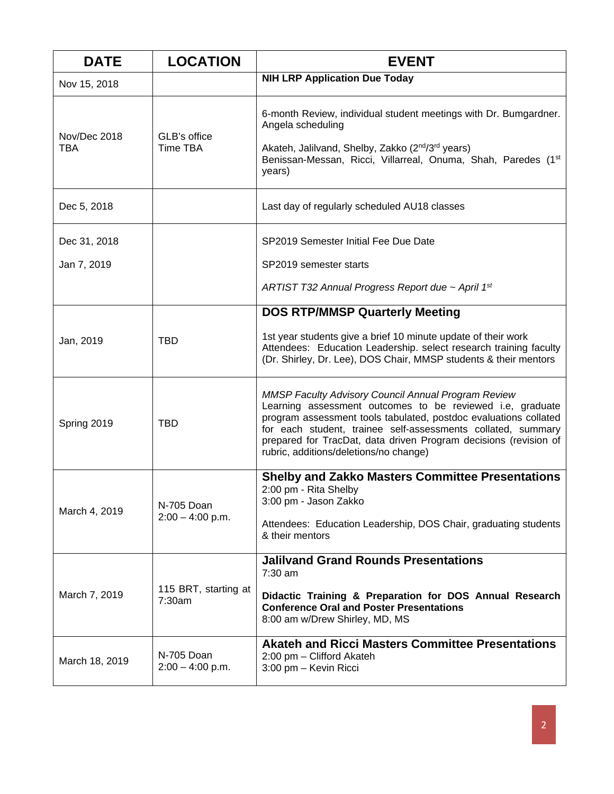| <b>DATE</b>                | <b>LOCATION</b>                  | <b>EVENT</b>                                                                                                                                                                                                                                                                                                                                                              |
|----------------------------|----------------------------------|---------------------------------------------------------------------------------------------------------------------------------------------------------------------------------------------------------------------------------------------------------------------------------------------------------------------------------------------------------------------------|
| Nov 15, 2018               |                                  | <b>NIH LRP Application Due Today</b>                                                                                                                                                                                                                                                                                                                                      |
| Nov/Dec 2018<br><b>TBA</b> | GLB's office<br><b>Time TBA</b>  | 6-month Review, individual student meetings with Dr. Bumgardner.<br>Angela scheduling<br>Akateh, Jalilvand, Shelby, Zakko (2 <sup>nd</sup> /3 <sup>rd</sup> years)<br>Benissan-Messan, Ricci, Villarreal, Onuma, Shah, Paredes (1 <sup>st</sup> )<br>years)                                                                                                               |
| Dec 5, 2018                |                                  | Last day of regularly scheduled AU18 classes                                                                                                                                                                                                                                                                                                                              |
| Dec 31, 2018               |                                  | SP2019 Semester Initial Fee Due Date                                                                                                                                                                                                                                                                                                                                      |
| Jan 7, 2019                |                                  | SP2019 semester starts<br>ARTIST T32 Annual Progress Report due ~ April 1st                                                                                                                                                                                                                                                                                               |
|                            |                                  | <b>DOS RTP/MMSP Quarterly Meeting</b>                                                                                                                                                                                                                                                                                                                                     |
| Jan, 2019                  | <b>TBD</b>                       | 1st year students give a brief 10 minute update of their work<br>Attendees: Education Leadership. select research training faculty<br>(Dr. Shirley, Dr. Lee), DOS Chair, MMSP students & their mentors                                                                                                                                                                    |
| Spring 2019                | <b>TBD</b>                       | <b>MMSP Faculty Advisory Council Annual Program Review</b><br>Learning assessment outcomes to be reviewed i.e, graduate<br>program assessment tools tabulated, postdoc evaluations collated<br>for each student, trainee self-assessments collated, summary<br>prepared for TracDat, data driven Program decisions (revision of<br>rubric, additions/deletions/no change) |
| March 4, 2019              | N-705 Doan<br>$2:00 - 4:00$ p.m. | <b>Shelby and Zakko Masters Committee Presentations</b><br>2:00 pm - Rita Shelby<br>3:00 pm - Jason Zakko<br>Attendees: Education Leadership, DOS Chair, graduating students<br>& their mentors                                                                                                                                                                           |
| March 7, 2019              | 115 BRT, starting at<br>7:30am   | <b>Jalilvand Grand Rounds Presentations</b><br>$7:30$ am<br>Didactic Training & Preparation for DOS Annual Research<br><b>Conference Oral and Poster Presentations</b><br>8:00 am w/Drew Shirley, MD, MS                                                                                                                                                                  |
| March 18, 2019             | N-705 Doan<br>$2:00 - 4:00$ p.m. | <b>Akateh and Ricci Masters Committee Presentations</b><br>2:00 pm - Clifford Akateh<br>3:00 pm - Kevin Ricci                                                                                                                                                                                                                                                             |